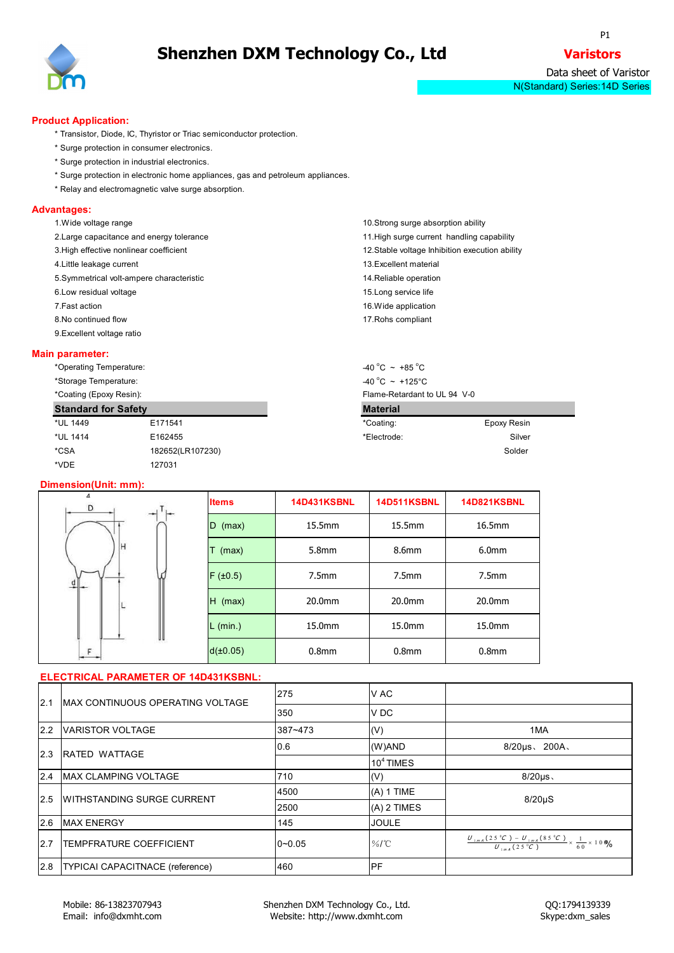

P1 and the set of the set of the set of the set of the set of the set of the set of the set of the set of the set of the set of the set of the set of the set of the set of the set of the set of the set of the set of the se

Data sheet of Varistor N(Standard) Series:14D Series

#### **Product Application:**

- \* Transistor, Diode, IC, Thyristor or Triac semiconductor protection.
- \* Surge protection in consumer electronics.
- \* Surge protection in industrial electronics.
- \* Surge protection in electronic home appliances, gas and petroleum appliances.
- \* Relay and electromagnetic valve surge absorption.

#### **Advantages:**

| 1. Wide voltage range                     | 10. Strong surge absorption ability             |
|-------------------------------------------|-------------------------------------------------|
| 2. Large capacitance and energy tolerance | 11. High surge current handling capability      |
| 3. High effective nonlinear coefficient   | 12. Stable voltage Inhibition execution ability |
| 4. Little leakage current                 | 13. Excellent material                          |
| 5. Symmetrical volt-ampere characteristic | 14. Reliable operation                          |
| 6. Low residual voltage                   | 15. Long service life                           |
| 7.Fast action                             | 16. Wide application                            |
| 8. No continued flow                      | 17. Rohs compliant                              |
| 9. Excellent voltage ratio                |                                                 |

#### **Main parameter:**

| *Operating Temperature:    |                  | $-40\degree C$ ~ +85 $\degree C$  |                              |  |  |  |  |
|----------------------------|------------------|-----------------------------------|------------------------------|--|--|--|--|
| *Storage Temperature:      |                  | $-40\degree C$ ~ +125 $\degree C$ |                              |  |  |  |  |
| *Coating (Epoxy Resin):    |                  |                                   | Flame-Retardant to UL 94 V-0 |  |  |  |  |
| <b>Standard for Safety</b> |                  | <b>Material</b>                   |                              |  |  |  |  |
|                            |                  |                                   |                              |  |  |  |  |
| *UL 1449                   | E171541          | *Coating:                         | Epoxy Resin                  |  |  |  |  |
| *UL 1414                   | E162455          | *Electrode:                       | Silver                       |  |  |  |  |
| *CSA                       | 182652(LR107230) |                                   | Solder                       |  |  |  |  |

#### **Dimension(Unit: mm):**

| D                                          | <b>Items</b> | <b>14D431KSBNL</b> | <b>14D511KSBNL</b> | <b>14D821KSBNL</b> |
|--------------------------------------------|--------------|--------------------|--------------------|--------------------|
|                                            | $D$ (max)    | 15.5mm             | 15.5mm             | 16.5mm             |
| н                                          | т<br>(max)   | 5.8mm              | 8.6mm              | 6.0 <sub>mm</sub>  |
| $\frac{d}{ }$ $\left  \frac{d}{ } \right $ | F(±0.5)      | 7.5 <sub>mm</sub>  | 7.5 <sub>mm</sub>  | 7.5 <sub>mm</sub>  |
| L                                          | $H$ (max)    | 20.0mm             | 20.0mm             | 20.0mm             |
|                                            | $L$ (min.)   | 15.0mm             | 15.0mm             | 15.0mm             |
| UU                                         | d(±0.05)     | 0.8 <sub>mm</sub>  | 0.8 <sub>mm</sub>  | 0.8 <sub>mm</sub>  |

| V AC<br>275<br>12.1<br>MAX CONTINUOUS OPERATING VOLTAGE<br>V DC<br>350<br>2.2 VARISTOR VOLTAGE<br>387~473<br>1MA<br>(V)<br>(W)AND<br>$8/20 \mu s$ , 200A,<br>0.6<br>2.3 RATED WATTAGE<br>$104$ TIMES<br>2.4 MAX CLAMPING VOLTAGE<br>710<br>$8/20 \mu s$<br>(V)<br>$(A) 1$ TIME<br>4500<br>2.5 WITHSTANDING SURGE CURRENT<br>$8/20\mu S$<br>$(A)$ 2 TIMES<br>2500<br>2.6 MAX ENERGY<br>145<br><b>JOULE</b><br>$\frac{U_{1mA}(25\degree C)-U_{1mA}(85\degree C)}{U_{1mA}(25\degree C)}\times\frac{1}{60}\times10\%$<br>2.7<br><b>TEMPFRATURE COEFFICIENT</b><br>$\%$ /°C<br>$0 - 0.05$<br>2.8   TYPICAI CAPACITNACE (reference)<br>PF<br>460 | ELECTRICAL PARAMETER OF 14D431KSBNL: |  |  |  |
|--------------------------------------------------------------------------------------------------------------------------------------------------------------------------------------------------------------------------------------------------------------------------------------------------------------------------------------------------------------------------------------------------------------------------------------------------------------------------------------------------------------------------------------------------------------------------------------------------------------------------------------------|--------------------------------------|--|--|--|
|                                                                                                                                                                                                                                                                                                                                                                                                                                                                                                                                                                                                                                            |                                      |  |  |  |
|                                                                                                                                                                                                                                                                                                                                                                                                                                                                                                                                                                                                                                            |                                      |  |  |  |
|                                                                                                                                                                                                                                                                                                                                                                                                                                                                                                                                                                                                                                            |                                      |  |  |  |
|                                                                                                                                                                                                                                                                                                                                                                                                                                                                                                                                                                                                                                            |                                      |  |  |  |
|                                                                                                                                                                                                                                                                                                                                                                                                                                                                                                                                                                                                                                            |                                      |  |  |  |
|                                                                                                                                                                                                                                                                                                                                                                                                                                                                                                                                                                                                                                            |                                      |  |  |  |
|                                                                                                                                                                                                                                                                                                                                                                                                                                                                                                                                                                                                                                            |                                      |  |  |  |
|                                                                                                                                                                                                                                                                                                                                                                                                                                                                                                                                                                                                                                            |                                      |  |  |  |
|                                                                                                                                                                                                                                                                                                                                                                                                                                                                                                                                                                                                                                            |                                      |  |  |  |
|                                                                                                                                                                                                                                                                                                                                                                                                                                                                                                                                                                                                                                            |                                      |  |  |  |
|                                                                                                                                                                                                                                                                                                                                                                                                                                                                                                                                                                                                                                            |                                      |  |  |  |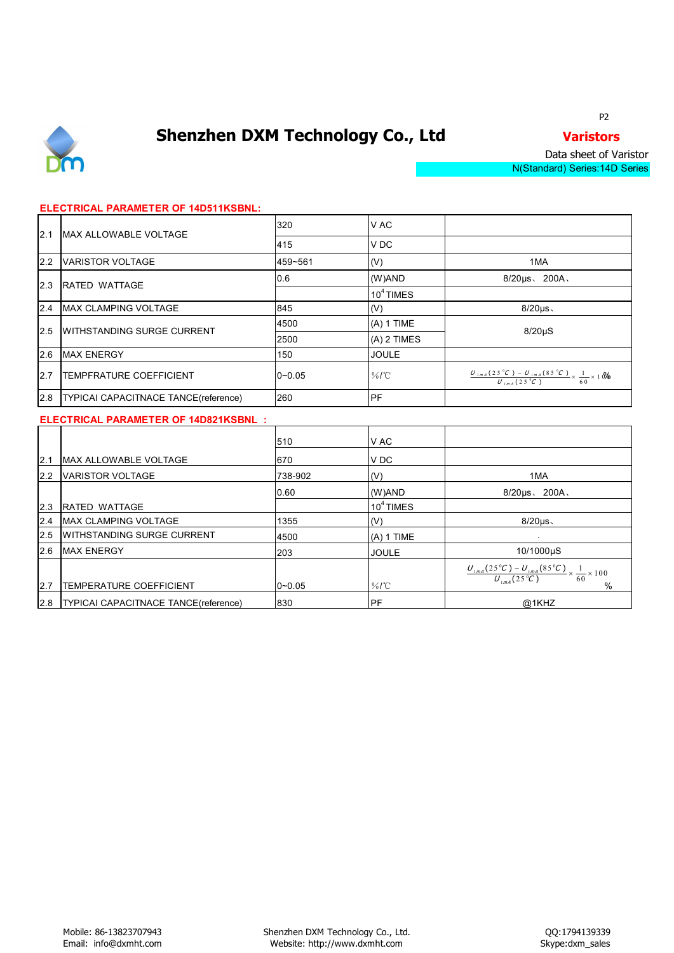

P2 and the set of the set of the set of the set of the set of the set of the set of the set of the set of the set of the set of the set of the set of the set of the set of the set of the set of the set of the set of the se

Data sheet of Varistor N(Standard) Series:14D Series

### **ELECTRICAL PARAMETER OF 14D511KSBNL:**

| 12.1 | <b>IMAX ALLOWABLE VOLTAGE</b>        | 320        | V AC          |                                                                                                            |  |
|------|--------------------------------------|------------|---------------|------------------------------------------------------------------------------------------------------------|--|
|      |                                      | 415        | V DC          |                                                                                                            |  |
| 2.2  | VARISTOR VOLTAGE                     | 459~561    | (V)           | 1MA                                                                                                        |  |
| 2.3  | <b>IRATED WATTAGE</b>                | 0.6        | (W)AND        | $8/20 \mu s$ , 200A,                                                                                       |  |
|      |                                      |            | $104$ TIMES   |                                                                                                            |  |
|      | 2.4 MAX CLAMPING VOLTAGE             | 845        | (V)           | $8/20 \mu s$                                                                                               |  |
|      | 2.5 WITHSTANDING SURGE CURRENT       | 4500       | $(A)$ 1 TIME  | $8/20\mu S$                                                                                                |  |
|      |                                      | 2500       | $(A)$ 2 TIMES |                                                                                                            |  |
| 2.6  | <b>MAX ENERGY</b>                    | 150        | <b>JOULE</b>  |                                                                                                            |  |
| 2.7  | <b>TEMPFRATURE COEFFICIENT</b>       | $0 - 0.05$ | $\%$ /°C      | $\frac{U_{1mA}(25\degree C) - U_{1mA}(85\degree C)}{U_{1mA}(25\degree C)} \times \frac{1}{60} \times 10\%$ |  |
| 2.8  | TYPICAI CAPACITNACE TANCE(reference) | 260        | <b>PF</b>     |                                                                                                            |  |

#### **ELECTRICAL PARAMETER OF 14D821KSBNL :**

|      |                                             | 510        | V AC         |                                                                                                           |
|------|---------------------------------------------|------------|--------------|-----------------------------------------------------------------------------------------------------------|
| 12.1 | MAX ALLOWABLE VOLTAGE                       | 670        | V DC         |                                                                                                           |
| 2.2  | <b>VARISTOR VOLTAGE</b>                     | 738-902    | (V)          | 1MA                                                                                                       |
|      |                                             | 0.60       | (W)AND       | $8/20 \mu s$ , $200A$                                                                                     |
| 2.3  | RATED WATTAGE                               |            | $104$ TIMES  |                                                                                                           |
| 2.4  | <b>MAX CLAMPING VOLTAGE</b>                 | 1355       | (V)          | $8/20 \mu s$                                                                                              |
| 2.5  | <b>WITHSTANDING SURGE CURRENT</b>           | 4500       | $(A)$ 1 TIME |                                                                                                           |
|      | 2.6 MAX ENERGY                              | 203        | <b>JOULE</b> | 10/1000µS                                                                                                 |
|      |                                             |            |              | $\frac{U_{1mA}(25\degree C) - U_{1mA}(85\degree C)}{U_{1mA}(25\degree C)} \times \frac{1}{60} \times 100$ |
| 12.7 | <b>TEMPERATURE COEFFICIENT</b>              | $0 - 0.05$ | $\%$ /°C     | $\frac{0}{0}$                                                                                             |
|      | 2.8   TYPICAI CAPACITNACE TANCE (reference) | 830        | <b>IPF</b>   | @1KHZ                                                                                                     |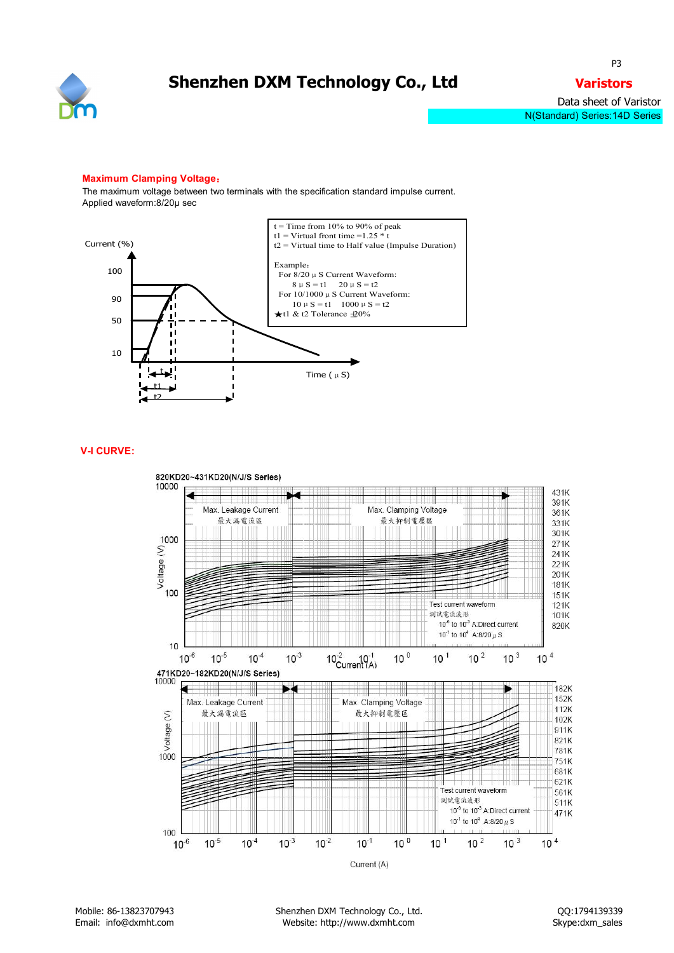

#### **Maximum Clamping Voltage**:

The maximum voltage between two terminals with the specification standard impulse current. Applied waveform:8/20μ sec



#### **V-I CURVE:**

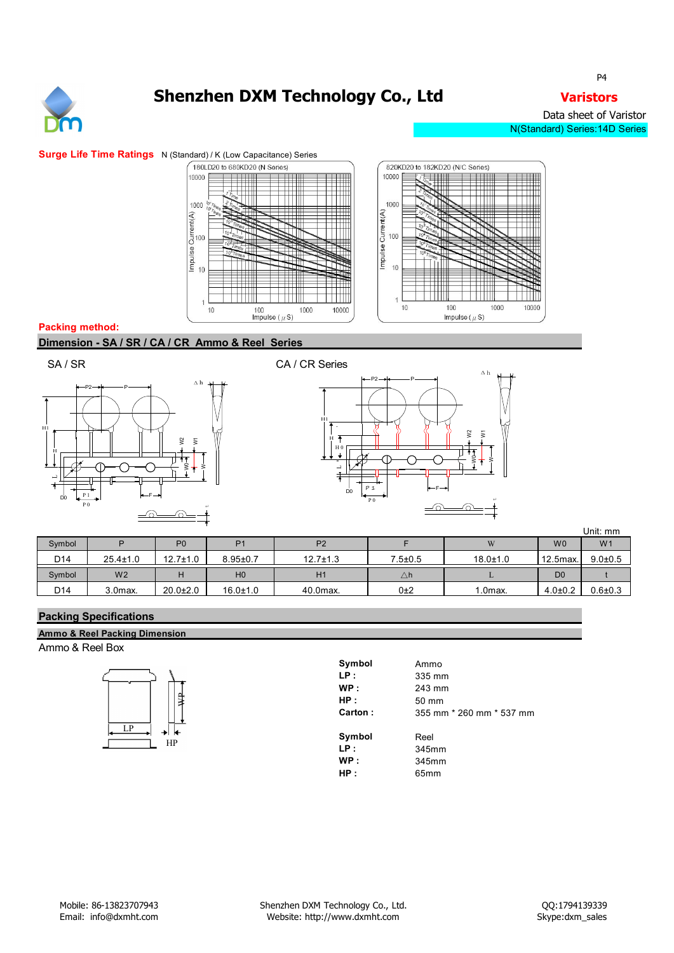

Data sheet of Varistor N(Standard) Series:14D Series



#### **Packing method:**

**Dimension - SA / SR / CA / CR Ammo & Reel Series**









|                 |                |                |                |                |               |                |                | Unit: mm       |
|-----------------|----------------|----------------|----------------|----------------|---------------|----------------|----------------|----------------|
| Symbol          |                | P <sub>0</sub> | $\mathbf{D}$   | P <sub>2</sub> |               | W              | W <sub>0</sub> | W <sub>1</sub> |
| D14             | $25.4 \pm 1.0$ | $12.7 \pm 1.0$ | $8.95 \pm 0.7$ | $12.7 \pm 1.3$ | $7.5 + 0.5$   | $18.0 \pm 1.0$ | 12.5max.       | $9.0 \pm 0.5$  |
| Symbol          | W <sub>2</sub> |                | H <sub>0</sub> | H1             | $\triangle$ h |                | D <sub>0</sub> |                |
| D <sub>14</sub> | 3.0max.        | $20.0 \pm 2.0$ | $16.0 \pm 1.0$ | 40.0max.       | 0±2           | $1.0$ max.     | $4.0 \pm 0.2$  | $0.6 \pm 0.3$  |

### **Packing Specifications**

**Ammo & Reel Packing Dimension** Ammo & Reel Box



| Symbol  | Ammo                     |
|---------|--------------------------|
| LP:     | 335 mm                   |
| WP:     | 243 mm                   |
| HP:     | 50 mm                    |
| Carton: | 355 mm * 260 mm * 537 mm |
| Symbol  | Reel                     |
| LP:     | 345mm                    |
| WP:     | 345mm                    |
| HP:     | 65 <sub>mm</sub>         |

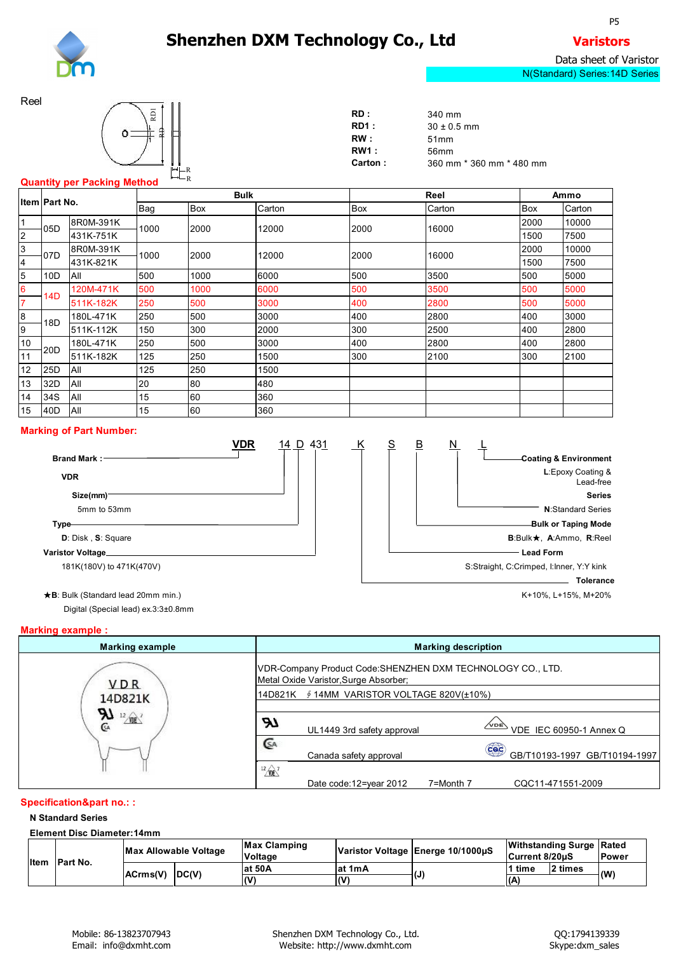R<sub>a</sub> R<sub>a</sub> Participant and the *R*<sub>a</sub> Participant and *R*<sub>a</sub> Participant and *R*<sub>a</sub> Participant and *R*<sub>a</sub> Participant and *R*<sub>a</sub> Participant and *R*<sub>a</sub> Participant and *R*<sub>a</sub> Participant and *R*<sub>a</sub> Participant and *R*<sub>a</sub> P R<sub>a</sub> R<sub>a</sub> Participant and the *R*<sub>a</sub> Participant and *R*<sub>a</sub> Participant and *R*<sub>a</sub> Participant and *R*<sub>a</sub> Participant and *R*<sub>a</sub> Participant and *R*<sub>a</sub> Participant and *R*<sub>a</sub> Participant and *R*<sub>a</sub> Participant and *R*<sub>a</sub> P



Reel



| RD :            | 340 mm                   |
|-----------------|--------------------------|
| RD1:            | $30 \pm 0.5$ mm          |
| RW:             | 51 <sub>mm</sub>         |
| <b>RW1 :</b>    | 56mm                     |
| <b>Carton</b> : | 360 mm * 360 mm * 480 mm |
|                 |                          |

### **Quantity per Packing Method**

|                | Item Part No.     |            | <b>Bulk</b> |       |        | Reel | Ammo   |            |        |
|----------------|-------------------|------------|-------------|-------|--------|------|--------|------------|--------|
|                |                   |            | Bag         | Box   | Carton | Box  | Carton | <b>Box</b> | Carton |
| $\mathbf{1}$   |                   | 8R0M-391K  | 1000        |       |        |      |        | 2000       | 10000  |
| 2              | $-05D$            | 431K-751K  |             | 2000  | 12000  | 2000 | 16000  | 1500       | 7500   |
| $\mathbf{3}$   |                   | 8R0M-391K  |             |       |        | 2000 | 16000  | 2000       | 10000  |
| 4              | 107D<br>431K-821K | 1000       | 2000        | 12000 |        |      | 1500   | 7500       |        |
| 5              | 10D               | All        | 500         | 1000  | 6000   | 500  | 3500   | 500        | 5000   |
| 6              | 14D               | 120M-471K  | 500         | 1000  | 6000   | 500  | 3500   | 500        | 5000   |
| $\overline{7}$ |                   | 511K-182K  | 250         | 500   | 3000   | 400  | 2800   | 500        | 5000   |
| $\bf{8}$       | 18 <sub>D</sub>   | 180L-471K  | 250         | 500   | 3000   | 400  | 2800   | 400        | 3000   |
| 9              |                   | 511K-112K  | 150         | 300   | 2000   | 300  | 2500   | 400        | 2800   |
| 10             | 20D               | 180L-471K  | 250         | 500   | 3000   | 400  | 2800   | 400        | 2800   |
| 11             |                   | 511K-182K  | 125         | 250   | 1500   | 300  | 2100   | 300        | 2100   |
| 12             | 25D               | All        | 125         | 250   | 1500   |      |        |            |        |
| 13             | 32D               | <b>All</b> | 20          | 80    | 480    |      |        |            |        |
| 14             | 34S               | All        | 15          | 60    | 360    |      |        |            |        |
| 15             | 40 <sub>D</sub>   | All        | 15          | 60    | 360    |      |        |            |        |

#### **Marking of Part Number:**



Digital (Special lead) ex.3:3±0.8mm

### **Marking example :**

| <b>Marking example</b> | <b>Marking description</b>                                                                           |
|------------------------|------------------------------------------------------------------------------------------------------|
| <b>VDR</b>             | VDR-Company Product Code: SHENZHEN DXM TECHNOLOGY CO., LTD.<br>Metal Oxide Varistor, Surge Absorber; |
| 14D821K                | ∮ 14MM VARISTOR VOLTAGE 820V(±10%)<br>14D821K                                                        |
| للا<br>$\frac{12}{2}$  | ЯΤ<br>$\frac{\sqrt{200} \text{ N}}{200}$ VDE IEC 60950-1 Annex Q<br>UL1449 3rd safety approval       |
|                        | GA<br>Coc<br>GB/T10193-1997 GB/T10194-1997<br>Canada safety approval                                 |
|                        | $\sqrt[12]{\text{ME}}$<br>Date code: 12=year 2012<br>7=Month 7<br>CQC11-471551-2009                  |

### **Specification&part no.: :**

#### **N Standard Series**

**Element Disc Diameter:14mm**

|  |                        | Max Allowable Voltage |     | Max Clamping | Varistor Voltage Energe 10/1000µS |     | Withstanding Surge Rated |         |              |  |
|--|------------------------|-----------------------|-----|--------------|-----------------------------------|-----|--------------------------|---------|--------------|--|
|  |                        |                       |     | Voltage      |                                   |     | Current 8/20uS           |         | <b>Power</b> |  |
|  | Item Part No.          |                       |     | lat 50A      | lat 1mA                           |     | 1 time                   | ? times | (W           |  |
|  | $ ACrms(V) $ $ DC(V) $ |                       | (V) | l (V         | ιν.                               | (A) |                          |         |              |  |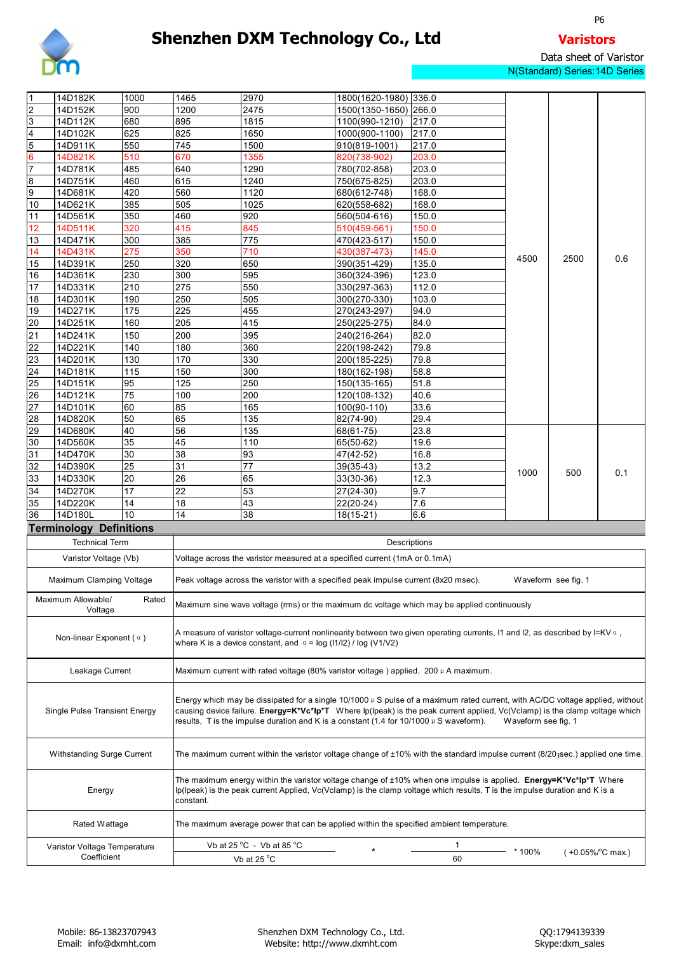

P6 and the contract of the contract of the contract of the contract of the contract of the contract of the contract of the contract of the contract of the contract of the contract of the contract of the contract of the con

Data sheet of Varistor N(Standard) Series:14D Series

|                  | 14D182K                              | 1000            | 1465                                                                   | 2970                                                                                       | 1800(1620-1980) 336.0      |                                                                                                                                     |                     |                            |     |  |  |  |  |  |  |
|------------------|--------------------------------------|-----------------|------------------------------------------------------------------------|--------------------------------------------------------------------------------------------|----------------------------|-------------------------------------------------------------------------------------------------------------------------------------|---------------------|----------------------------|-----|--|--|--|--|--|--|
| $\overline{2}$   | 14D152K                              | 900             | 1200                                                                   | 2475                                                                                       | 1500(1350-1650) 266.0      |                                                                                                                                     |                     |                            |     |  |  |  |  |  |  |
| 3                | 14D112K                              | 680             | 895                                                                    | 1815                                                                                       | 1100(990-1210)             | 217.0                                                                                                                               |                     |                            |     |  |  |  |  |  |  |
| $\overline{4}$   | 14D102K                              | 625             | 825                                                                    | 1650                                                                                       | 1000(900-1100)             | 217.0                                                                                                                               |                     |                            |     |  |  |  |  |  |  |
| $\overline{5}$   | 14D911K                              | 550             | 745                                                                    | 1500                                                                                       | 910(819-1001)              | 217.0                                                                                                                               |                     |                            |     |  |  |  |  |  |  |
| 6                | 14D821K                              | 510             | 670                                                                    | 1355                                                                                       | 820(738-902)               | 203.0                                                                                                                               |                     |                            |     |  |  |  |  |  |  |
| $\overline{7}$   | 14D781K                              | 485             | 640                                                                    | 1290                                                                                       | 780(702-858)               | 203.0                                                                                                                               |                     |                            |     |  |  |  |  |  |  |
| $\boldsymbol{8}$ | 14D751K                              | 460             | 615                                                                    | 1240                                                                                       | 750(675-825)               | 203.0                                                                                                                               |                     |                            |     |  |  |  |  |  |  |
| 9                | 14D681K                              | 420             | 560                                                                    | 1120                                                                                       | 680(612-748)               | 168.0                                                                                                                               |                     |                            | 0.6 |  |  |  |  |  |  |
| 10               | 14D621K                              | 385             | 505                                                                    | 1025                                                                                       | 620(558-682)               | 168.0                                                                                                                               |                     |                            |     |  |  |  |  |  |  |
| 11               | 14D561K                              | 350             | 460                                                                    | 920                                                                                        | 560(504-616)               | 150.0                                                                                                                               |                     |                            |     |  |  |  |  |  |  |
| 12               | 14D511K                              | 320             | 415                                                                    | 845                                                                                        | $\overline{510}$ (459-561) | 150.0                                                                                                                               |                     | 2500                       |     |  |  |  |  |  |  |
| 13               | 14D471K                              | 300             | 385                                                                    | 775                                                                                        | 470(423-517)               | 150.0                                                                                                                               |                     |                            |     |  |  |  |  |  |  |
| 14               | 14D431K                              | 275             | 350                                                                    | 710                                                                                        | 430(387-473)               | 145.0                                                                                                                               |                     |                            |     |  |  |  |  |  |  |
| 15               | 14D391K                              | 250             | 320                                                                    | 650                                                                                        | 390(351-429)               | 135.0                                                                                                                               | 4500                |                            |     |  |  |  |  |  |  |
| 16               | 14D361K                              | 230             | 300                                                                    | 595                                                                                        | 360(324-396)               | 123.0                                                                                                                               |                     |                            |     |  |  |  |  |  |  |
| 17               |                                      | 210             | 275                                                                    | 550                                                                                        |                            | 112.0                                                                                                                               |                     |                            |     |  |  |  |  |  |  |
|                  | 14D331K<br>14D301K                   | 190             | 250                                                                    | 505                                                                                        | 330(297-363)               | 103.0                                                                                                                               |                     |                            |     |  |  |  |  |  |  |
| 18               |                                      | $\frac{1}{175}$ |                                                                        |                                                                                            | 300(270-330)               |                                                                                                                                     |                     |                            |     |  |  |  |  |  |  |
| 19               | 14D271K                              |                 | 225                                                                    | 455                                                                                        | 270(243-297)               | 94.0                                                                                                                                |                     |                            |     |  |  |  |  |  |  |
| 20               | 14D251K                              | 160             | 205                                                                    | 415                                                                                        | 250(225-275)               | 84.0                                                                                                                                |                     |                            |     |  |  |  |  |  |  |
| 21               | 14D241K                              | 150             | 200                                                                    | 395                                                                                        | 240(216-264)               | 82.0                                                                                                                                |                     |                            |     |  |  |  |  |  |  |
| 22               | 14D221K                              | 140             | 180                                                                    | 360                                                                                        | 220(198-242)               | 79.8                                                                                                                                |                     |                            |     |  |  |  |  |  |  |
| 23               | 14D201K                              | 130             | 170                                                                    | 330                                                                                        | 200(185-225)               | 79.8                                                                                                                                |                     |                            |     |  |  |  |  |  |  |
| 24               | 14D181K                              | 115             | 150                                                                    | 300                                                                                        | 180(162-198)               | 58.8                                                                                                                                |                     |                            |     |  |  |  |  |  |  |
| 25               | 14D151K                              | 95              | 125                                                                    | 250                                                                                        | 150(135-165)               | 51.8                                                                                                                                |                     |                            |     |  |  |  |  |  |  |
| 26               | 14D121K                              | 75              | 100                                                                    | 200                                                                                        | 120(108-132)               | 40.6                                                                                                                                |                     |                            |     |  |  |  |  |  |  |
| 27               | 14D101K                              | 60              | 85                                                                     | 165                                                                                        | $\overline{100(90-110)}$   | 33.6                                                                                                                                |                     |                            |     |  |  |  |  |  |  |
| 28               | 14D820K                              | 50              | 65                                                                     | 135                                                                                        | 82(74-90)                  | 29.4                                                                                                                                |                     |                            |     |  |  |  |  |  |  |
| 29               | 14D680K                              | 40              | 56                                                                     | 135                                                                                        | 68(61-75)                  | 23.8                                                                                                                                |                     |                            |     |  |  |  |  |  |  |
| 30               | 14D560K                              | 35              | 45                                                                     | 110                                                                                        | 65(50-62)                  | 19.6                                                                                                                                |                     |                            |     |  |  |  |  |  |  |
| 31               | 14D470K                              | 30              | 38                                                                     | 93                                                                                         | 47(42-52)                  | 16.8                                                                                                                                |                     |                            |     |  |  |  |  |  |  |
| 32               | 14D390K                              | 25              | 31                                                                     | 77                                                                                         | 39(35-43)                  | 13.2                                                                                                                                | 1000                |                            |     |  |  |  |  |  |  |
| 33               | 14D330K                              | 20              | 26                                                                     | 65                                                                                         |                            | 12.3                                                                                                                                |                     | 500                        | 0.1 |  |  |  |  |  |  |
|                  |                                      |                 |                                                                        |                                                                                            | 33(30-36)                  |                                                                                                                                     |                     |                            |     |  |  |  |  |  |  |
| 34               | 14D270K                              | 17              | 22                                                                     | 53                                                                                         | 27(24-30)                  | 9.7                                                                                                                                 |                     |                            |     |  |  |  |  |  |  |
| 35               | 14D220K                              | 14              | 18                                                                     | 43                                                                                         | 22(20-24)                  | 7.6                                                                                                                                 |                     |                            |     |  |  |  |  |  |  |
| 36               | 14D180L                              | 10              | 14                                                                     | 38                                                                                         | $18(15-21)$                | 6.6                                                                                                                                 |                     |                            |     |  |  |  |  |  |  |
|                  | <b>Terminology Definitions</b>       |                 |                                                                        |                                                                                            |                            |                                                                                                                                     |                     |                            |     |  |  |  |  |  |  |
|                  | <b>Technical Term</b>                |                 |                                                                        |                                                                                            |                            | Descriptions                                                                                                                        |                     |                            |     |  |  |  |  |  |  |
|                  |                                      |                 |                                                                        |                                                                                            |                            |                                                                                                                                     |                     |                            |     |  |  |  |  |  |  |
|                  | Varistor Voltage (Vb)                |                 |                                                                        | Voltage across the varistor measured at a specified current (1mA or 0.1mA)                 |                            |                                                                                                                                     |                     |                            |     |  |  |  |  |  |  |
|                  | Maximum Clamping Voltage             |                 |                                                                        | Peak voltage across the varistor with a specified peak impulse current (8x20 msec).        |                            |                                                                                                                                     |                     | Waveform see fig. 1        |     |  |  |  |  |  |  |
|                  |                                      |                 |                                                                        |                                                                                            |                            |                                                                                                                                     |                     |                            |     |  |  |  |  |  |  |
|                  | Maximum Allowable/                   | Rated           |                                                                        |                                                                                            |                            |                                                                                                                                     |                     |                            |     |  |  |  |  |  |  |
|                  | Voltage                              |                 |                                                                        |                                                                                            |                            | Maximum sine wave voltage (rms) or the maximum dc voltage which may be applied continuously                                         |                     |                            |     |  |  |  |  |  |  |
|                  |                                      |                 |                                                                        |                                                                                            |                            |                                                                                                                                     |                     |                            |     |  |  |  |  |  |  |
|                  | Non-linear Exponent ( $\alpha$ )     |                 |                                                                        |                                                                                            |                            | A measure of varistor voltage-current nonlinearity between two given operating currents, I1 and I2, as described by I=KV $\alpha$ , |                     |                            |     |  |  |  |  |  |  |
|                  |                                      |                 | where K is a device constant, and $\alpha$ = log (I1/I2) / log (V1/V2) |                                                                                            |                            |                                                                                                                                     |                     |                            |     |  |  |  |  |  |  |
|                  |                                      |                 |                                                                        |                                                                                            |                            |                                                                                                                                     |                     |                            |     |  |  |  |  |  |  |
|                  |                                      |                 |                                                                        | Maximum current with rated voltage (80% varistor voltage) applied. 200 $\mu$ A maximum.    |                            |                                                                                                                                     |                     |                            |     |  |  |  |  |  |  |
|                  |                                      |                 |                                                                        |                                                                                            |                            |                                                                                                                                     |                     |                            |     |  |  |  |  |  |  |
|                  | Leakage Current                      |                 |                                                                        |                                                                                            |                            |                                                                                                                                     |                     |                            |     |  |  |  |  |  |  |
|                  |                                      |                 |                                                                        |                                                                                            |                            |                                                                                                                                     |                     |                            |     |  |  |  |  |  |  |
|                  |                                      |                 |                                                                        |                                                                                            |                            | Energy which may be dissipated for a single $10/1000 \mu$ S pulse of a maximum rated current, with AC/DC voltage applied, without   |                     |                            |     |  |  |  |  |  |  |
|                  | <b>Single Pulse Transient Energy</b> |                 |                                                                        |                                                                                            |                            | causing device failure. Energy=K*Vc*lp*T Where lp(lpeak) is the peak current applied, Vc(Vclamp) is the clamp voltage which         |                     |                            |     |  |  |  |  |  |  |
|                  |                                      |                 |                                                                        | results, T is the impulse duration and K is a constant (1.4 for $10/1000 \mu$ S waveform). |                            |                                                                                                                                     | Waveform see fig. 1 |                            |     |  |  |  |  |  |  |
|                  |                                      |                 |                                                                        |                                                                                            |                            |                                                                                                                                     |                     |                            |     |  |  |  |  |  |  |
|                  |                                      |                 |                                                                        |                                                                                            |                            |                                                                                                                                     |                     |                            |     |  |  |  |  |  |  |
|                  | Withstanding Surge Current           |                 |                                                                        |                                                                                            |                            | The maximum current within the varistor voltage change of ±10% with the standard impulse current (8/203sec.) applied one time.      |                     |                            |     |  |  |  |  |  |  |
|                  |                                      |                 |                                                                        |                                                                                            |                            |                                                                                                                                     |                     |                            |     |  |  |  |  |  |  |
|                  |                                      |                 |                                                                        |                                                                                            |                            | The maximum energy within the varistor voltage change of ±10% when one impulse is applied. Energy=K*Vc*lp*T Where                   |                     |                            |     |  |  |  |  |  |  |
|                  | Energy                               |                 |                                                                        |                                                                                            |                            | lp(lpeak) is the peak current Applied, Vc(Vclamp) is the clamp voltage which results, T is the impulse duration and K is a          |                     |                            |     |  |  |  |  |  |  |
|                  |                                      |                 | constant.                                                              |                                                                                            |                            |                                                                                                                                     |                     |                            |     |  |  |  |  |  |  |
|                  |                                      |                 |                                                                        |                                                                                            |                            |                                                                                                                                     |                     |                            |     |  |  |  |  |  |  |
|                  | Rated Wattage                        |                 |                                                                        |                                                                                            |                            | The maximum average power that can be applied within the specified ambient temperature.                                             |                     |                            |     |  |  |  |  |  |  |
|                  |                                      |                 |                                                                        |                                                                                            |                            |                                                                                                                                     |                     |                            |     |  |  |  |  |  |  |
|                  | Varistor Voltage Temperature         |                 |                                                                        | Vb at $25^{\circ}$ C - Vb at $85^{\circ}$ C                                                |                            | $\mathbf{1}$                                                                                                                        |                     |                            |     |  |  |  |  |  |  |
|                  | Coefficient                          |                 |                                                                        | Vb at 25 °C                                                                                |                            | 60                                                                                                                                  | * 100%              | $(+0.05\%/^{\circ}C$ max.) |     |  |  |  |  |  |  |